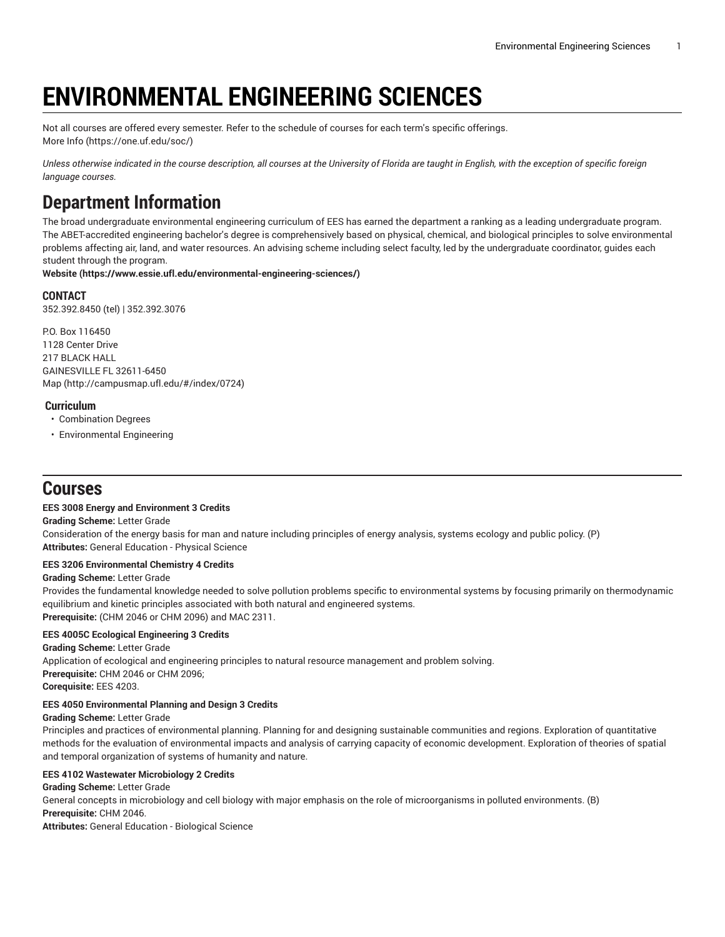# **ENVIRONMENTAL ENGINEERING SCIENCES**

Not all courses are offered every semester. Refer to the schedule of courses for each term's specific offerings. [More](https://one.uf.edu/soc/) Info [\(https://one.uf.edu/soc/](https://one.uf.edu/soc/))

Unless otherwise indicated in the course description, all courses at the University of Florida are taught in English, with the exception of specific foreign *language courses.*

# **Department Information**

The broad undergraduate environmental engineering curriculum of EES has earned the department a ranking as a leading undergraduate program. The ABET-accredited engineering bachelor's degree is comprehensively based on physical, chemical, and biological principles to solve environmental problems affecting air, land, and water resources. An advising scheme including select faculty, led by the undergraduate coordinator, guides each student through the program.

**[Website](https://www.essie.ufl.edu/environmental-engineering-sciences/) (<https://www.essie.ufl.edu/environmental-engineering-sciences/>)**

**CONTACT** 352.392.8450 (tel) | 352.392.3076

P.O. Box 116450 1128 Center Drive 217 BLACK HALL GAINESVILLE FL 32611-6450 [Map](http://campusmap.ufl.edu/#/index/0724) ([http://campusmap.ufl.edu/#/index/0724\)](http://campusmap.ufl.edu/#/index/0724)

# **Curriculum**

• Combination Degrees

• Environmental Engineering

# **Courses**

# **EES 3008 Energy and Environment 3 Credits**

**Grading Scheme:** Letter Grade

Consideration of the energy basis for man and nature including principles of energy analysis, systems ecology and public policy. (P) **Attributes:** General Education - Physical Science

# **EES 3206 Environmental Chemistry 4 Credits**

# **Grading Scheme:** Letter Grade

Provides the fundamental knowledge needed to solve pollution problems specific to environmental systems by focusing primarily on thermodynamic equilibrium and kinetic principles associated with both natural and engineered systems. **Prerequisite:** (CHM 2046 or CHM 2096) and MAC 2311.

# **EES 4005C Ecological Engineering 3 Credits**

**Grading Scheme:** Letter Grade Application of ecological and engineering principles to natural resource management and problem solving. **Prerequisite:** CHM 2046 or CHM 2096; **Corequisite:** EES 4203.

# **EES 4050 Environmental Planning and Design 3 Credits**

# **Grading Scheme:** Letter Grade

Principles and practices of environmental planning. Planning for and designing sustainable communities and regions. Exploration of quantitative methods for the evaluation of environmental impacts and analysis of carrying capacity of economic development. Exploration of theories of spatial and temporal organization of systems of humanity and nature.

# **EES 4102 Wastewater Microbiology 2 Credits**

**Grading Scheme:** Letter Grade

General concepts in microbiology and cell biology with major emphasis on the role of microorganisms in polluted environments. (B) **Prerequisite:** CHM 2046.

**Attributes:** General Education - Biological Science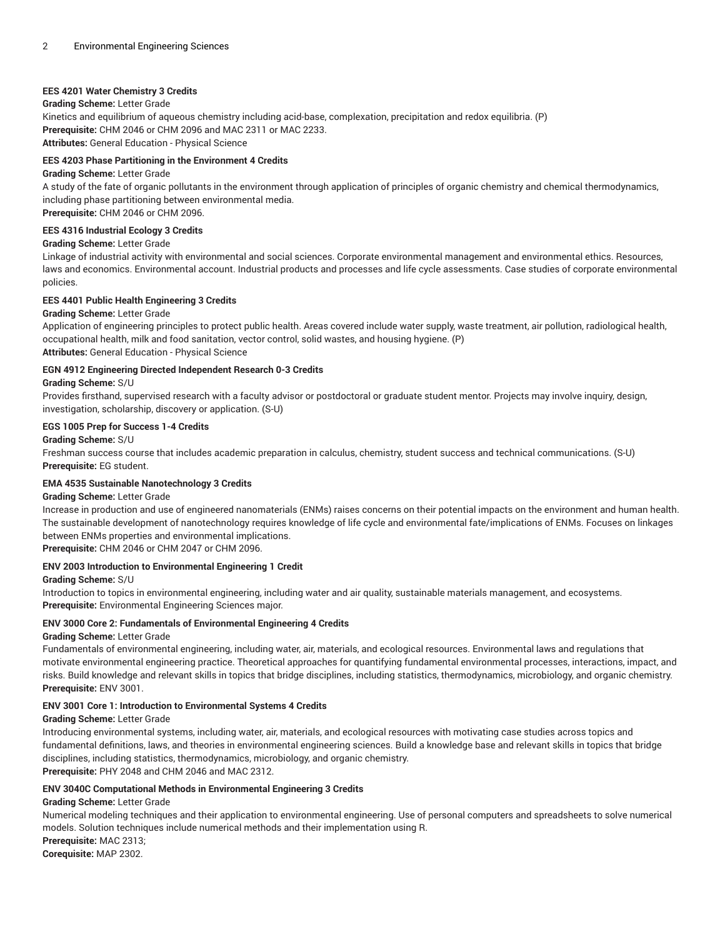# **EES 4201 Water Chemistry 3 Credits**

# **Grading Scheme:** Letter Grade

Kinetics and equilibrium of aqueous chemistry including acid-base, complexation, precipitation and redox equilibria. (P) **Prerequisite:** CHM 2046 or CHM 2096 and MAC 2311 or MAC 2233. **Attributes:** General Education - Physical Science

### **EES 4203 Phase Partitioning in the Environment 4 Credits**

#### **Grading Scheme:** Letter Grade

A study of the fate of organic pollutants in the environment through application of principles of organic chemistry and chemical thermodynamics, including phase partitioning between environmental media. **Prerequisite:** CHM 2046 or CHM 2096.

# **EES 4316 Industrial Ecology 3 Credits**

# **Grading Scheme:** Letter Grade

Linkage of industrial activity with environmental and social sciences. Corporate environmental management and environmental ethics. Resources, laws and economics. Environmental account. Industrial products and processes and life cycle assessments. Case studies of corporate environmental policies.

# **EES 4401 Public Health Engineering 3 Credits**

#### **Grading Scheme:** Letter Grade

Application of engineering principles to protect public health. Areas covered include water supply, waste treatment, air pollution, radiological health, occupational health, milk and food sanitation, vector control, solid wastes, and housing hygiene. (P) **Attributes:** General Education - Physical Science

# **EGN 4912 Engineering Directed Independent Research 0-3 Credits**

**Grading Scheme:** S/U

Provides firsthand, supervised research with a faculty advisor or postdoctoral or graduate student mentor. Projects may involve inquiry, design, investigation, scholarship, discovery or application. (S-U)

#### **EGS 1005 Prep for Success 1-4 Credits**

#### **Grading Scheme:** S/U

Freshman success course that includes academic preparation in calculus, chemistry, student success and technical communications. (S-U) **Prerequisite:** EG student.

#### **EMA 4535 Sustainable Nanotechnology 3 Credits**

### **Grading Scheme:** Letter Grade

Increase in production and use of engineered nanomaterials (ENMs) raises concerns on their potential impacts on the environment and human health. The sustainable development of nanotechnology requires knowledge of life cycle and environmental fate/implications of ENMs. Focuses on linkages between ENMs properties and environmental implications.

**Prerequisite:** CHM 2046 or CHM 2047 or CHM 2096.

# **ENV 2003 Introduction to Environmental Engineering 1 Credit**

#### **Grading Scheme:** S/U

Introduction to topics in environmental engineering, including water and air quality, sustainable materials management, and ecosystems. **Prerequisite:** Environmental Engineering Sciences major.

# **ENV 3000 Core 2: Fundamentals of Environmental Engineering 4 Credits**

#### **Grading Scheme:** Letter Grade

Fundamentals of environmental engineering, including water, air, materials, and ecological resources. Environmental laws and regulations that motivate environmental engineering practice. Theoretical approaches for quantifying fundamental environmental processes, interactions, impact, and risks. Build knowledge and relevant skills in topics that bridge disciplines, including statistics, thermodynamics, microbiology, and organic chemistry. **Prerequisite:** ENV 3001.

#### **ENV 3001 Core 1: Introduction to Environmental Systems 4 Credits**

#### **Grading Scheme:** Letter Grade

Introducing environmental systems, including water, air, materials, and ecological resources with motivating case studies across topics and fundamental definitions, laws, and theories in environmental engineering sciences. Build a knowledge base and relevant skills in topics that bridge disciplines, including statistics, thermodynamics, microbiology, and organic chemistry. **Prerequisite:** PHY 2048 and CHM 2046 and MAC 2312.

#### **ENV 3040C Computational Methods in Environmental Engineering 3 Credits**

#### **Grading Scheme:** Letter Grade

Numerical modeling techniques and their application to environmental engineering. Use of personal computers and spreadsheets to solve numerical models. Solution techniques include numerical methods and their implementation using R. **Prerequisite:** MAC 2313;

**Corequisite:** MAP 2302.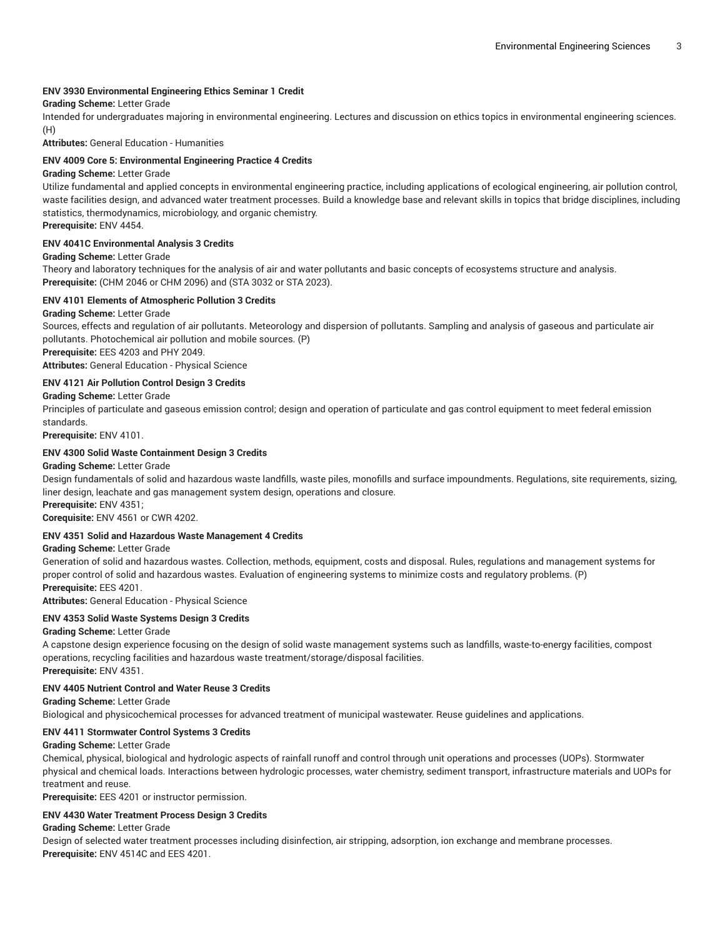#### **ENV 3930 Environmental Engineering Ethics Seminar 1 Credit**

#### **Grading Scheme:** Letter Grade

Intended for undergraduates majoring in environmental engineering. Lectures and discussion on ethics topics in environmental engineering sciences. (H)

**Attributes:** General Education - Humanities

#### **ENV 4009 Core 5: Environmental Engineering Practice 4 Credits**

#### **Grading Scheme:** Letter Grade

Utilize fundamental and applied concepts in environmental engineering practice, including applications of ecological engineering, air pollution control, waste facilities design, and advanced water treatment processes. Build a knowledge base and relevant skills in topics that bridge disciplines, including statistics, thermodynamics, microbiology, and organic chemistry.

**Prerequisite:** ENV 4454.

#### **ENV 4041C Environmental Analysis 3 Credits**

#### **Grading Scheme:** Letter Grade

Theory and laboratory techniques for the analysis of air and water pollutants and basic concepts of ecosystems structure and analysis. **Prerequisite:** (CHM 2046 or CHM 2096) and (STA 3032 or STA 2023).

#### **ENV 4101 Elements of Atmospheric Pollution 3 Credits**

#### **Grading Scheme:** Letter Grade

Sources, effects and regulation of air pollutants. Meteorology and dispersion of pollutants. Sampling and analysis of gaseous and particulate air pollutants. Photochemical air pollution and mobile sources. (P) **Prerequisite:** EES 4203 and PHY 2049.

**Attributes:** General Education - Physical Science

#### **ENV 4121 Air Pollution Control Design 3 Credits**

### **Grading Scheme:** Letter Grade

Principles of particulate and gaseous emission control; design and operation of particulate and gas control equipment to meet federal emission standards.

**Prerequisite:** ENV 4101.

# **ENV 4300 Solid Waste Containment Design 3 Credits**

#### **Grading Scheme:** Letter Grade

Design fundamentals of solid and hazardous waste landfills, waste piles, monofills and surface impoundments. Regulations, site requirements, sizing, liner design, leachate and gas management system design, operations and closure.

**Prerequisite:** ENV 4351;

**Corequisite:** ENV 4561 or CWR 4202.

#### **ENV 4351 Solid and Hazardous Waste Management 4 Credits**

#### **Grading Scheme:** Letter Grade

Generation of solid and hazardous wastes. Collection, methods, equipment, costs and disposal. Rules, regulations and management systems for proper control of solid and hazardous wastes. Evaluation of engineering systems to minimize costs and regulatory problems. (P) **Prerequisite:** EES 4201.

**Attributes:** General Education - Physical Science

#### **ENV 4353 Solid Waste Systems Design 3 Credits**

#### **Grading Scheme:** Letter Grade

A capstone design experience focusing on the design of solid waste management systems such as landfills, waste-to-energy facilities, compost operations, recycling facilities and hazardous waste treatment/storage/disposal facilities.

**Prerequisite:** ENV 4351.

# **ENV 4405 Nutrient Control and Water Reuse 3 Credits**

### **Grading Scheme:** Letter Grade

Biological and physicochemical processes for advanced treatment of municipal wastewater. Reuse guidelines and applications.

#### **ENV 4411 Stormwater Control Systems 3 Credits**

#### **Grading Scheme:** Letter Grade

Chemical, physical, biological and hydrologic aspects of rainfall runoff and control through unit operations and processes (UOPs). Stormwater physical and chemical loads. Interactions between hydrologic processes, water chemistry, sediment transport, infrastructure materials and UOPs for treatment and reuse.

**Prerequisite:** EES 4201 or instructor permission.

#### **ENV 4430 Water Treatment Process Design 3 Credits**

#### **Grading Scheme:** Letter Grade

Design of selected water treatment processes including disinfection, air stripping, adsorption, ion exchange and membrane processes. **Prerequisite:** ENV 4514C and EES 4201.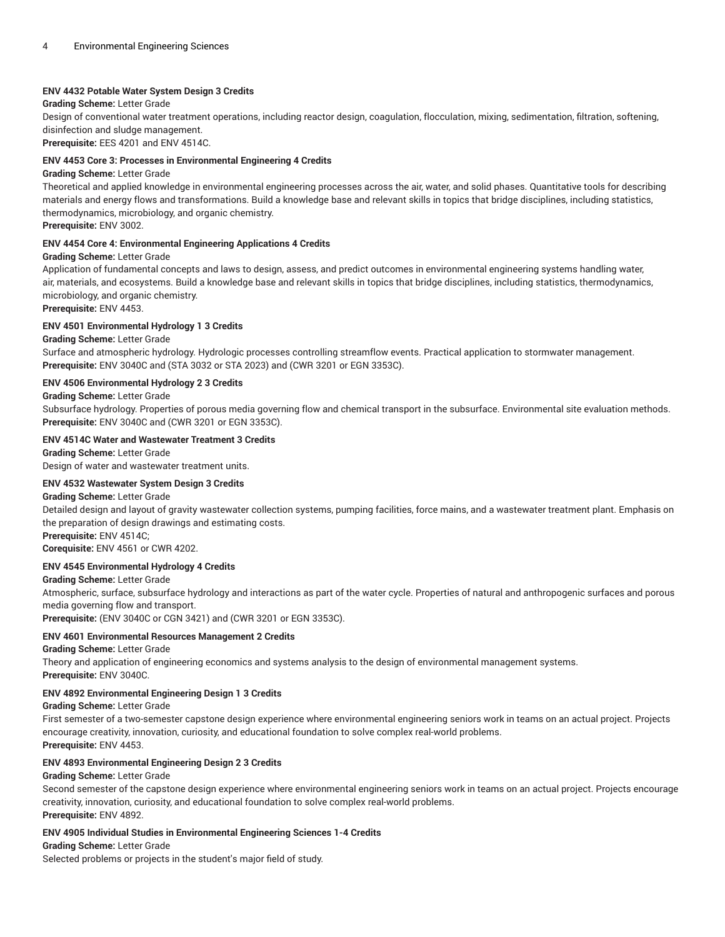# **ENV 4432 Potable Water System Design 3 Credits**

#### **Grading Scheme:** Letter Grade

Design of conventional water treatment operations, including reactor design, coagulation, flocculation, mixing, sedimentation, filtration, softening, disinfection and sludge management.

**Prerequisite:** EES 4201 and ENV 4514C.

### **ENV 4453 Core 3: Processes in Environmental Engineering 4 Credits**

#### **Grading Scheme:** Letter Grade

Theoretical and applied knowledge in environmental engineering processes across the air, water, and solid phases. Quantitative tools for describing materials and energy flows and transformations. Build a knowledge base and relevant skills in topics that bridge disciplines, including statistics, thermodynamics, microbiology, and organic chemistry.

**Prerequisite:** ENV 3002.

#### **ENV 4454 Core 4: Environmental Engineering Applications 4 Credits**

# **Grading Scheme:** Letter Grade

Application of fundamental concepts and laws to design, assess, and predict outcomes in environmental engineering systems handling water, air, materials, and ecosystems. Build a knowledge base and relevant skills in topics that bridge disciplines, including statistics, thermodynamics, microbiology, and organic chemistry.

**Prerequisite:** ENV 4453.

# **ENV 4501 Environmental Hydrology 1 3 Credits**

**Grading Scheme:** Letter Grade

Surface and atmospheric hydrology. Hydrologic processes controlling streamflow events. Practical application to stormwater management. **Prerequisite:** ENV 3040C and (STA 3032 or STA 2023) and (CWR 3201 or EGN 3353C).

# **ENV 4506 Environmental Hydrology 2 3 Credits**

# **Grading Scheme:** Letter Grade

Subsurface hydrology. Properties of porous media governing flow and chemical transport in the subsurface. Environmental site evaluation methods. **Prerequisite:** ENV 3040C and (CWR 3201 or EGN 3353C).

# **ENV 4514C Water and Wastewater Treatment 3 Credits**

**Grading Scheme:** Letter Grade Design of water and wastewater treatment units.

# **ENV 4532 Wastewater System Design 3 Credits**

**Grading Scheme:** Letter Grade

Detailed design and layout of gravity wastewater collection systems, pumping facilities, force mains, and a wastewater treatment plant. Emphasis on the preparation of design drawings and estimating costs.

**Prerequisite:** ENV 4514C;

**Corequisite:** ENV 4561 or CWR 4202.

# **ENV 4545 Environmental Hydrology 4 Credits**

# **Grading Scheme:** Letter Grade

Atmospheric, surface, subsurface hydrology and interactions as part of the water cycle. Properties of natural and anthropogenic surfaces and porous media governing flow and transport.

**Prerequisite:** (ENV 3040C or CGN 3421) and (CWR 3201 or EGN 3353C).

# **ENV 4601 Environmental Resources Management 2 Credits**

**Grading Scheme:** Letter Grade

Theory and application of engineering economics and systems analysis to the design of environmental management systems. **Prerequisite:** ENV 3040C.

# **ENV 4892 Environmental Engineering Design 1 3 Credits**

**Grading Scheme:** Letter Grade

First semester of a two-semester capstone design experience where environmental engineering seniors work in teams on an actual project. Projects encourage creativity, innovation, curiosity, and educational foundation to solve complex real-world problems. **Prerequisite:** ENV 4453.

# **ENV 4893 Environmental Engineering Design 2 3 Credits**

#### **Grading Scheme:** Letter Grade

Second semester of the capstone design experience where environmental engineering seniors work in teams on an actual project. Projects encourage creativity, innovation, curiosity, and educational foundation to solve complex real-world problems. **Prerequisite:** ENV 4892.

# **ENV 4905 Individual Studies in Environmental Engineering Sciences 1-4 Credits**

#### **Grading Scheme:** Letter Grade

Selected problems or projects in the student's major field of study.